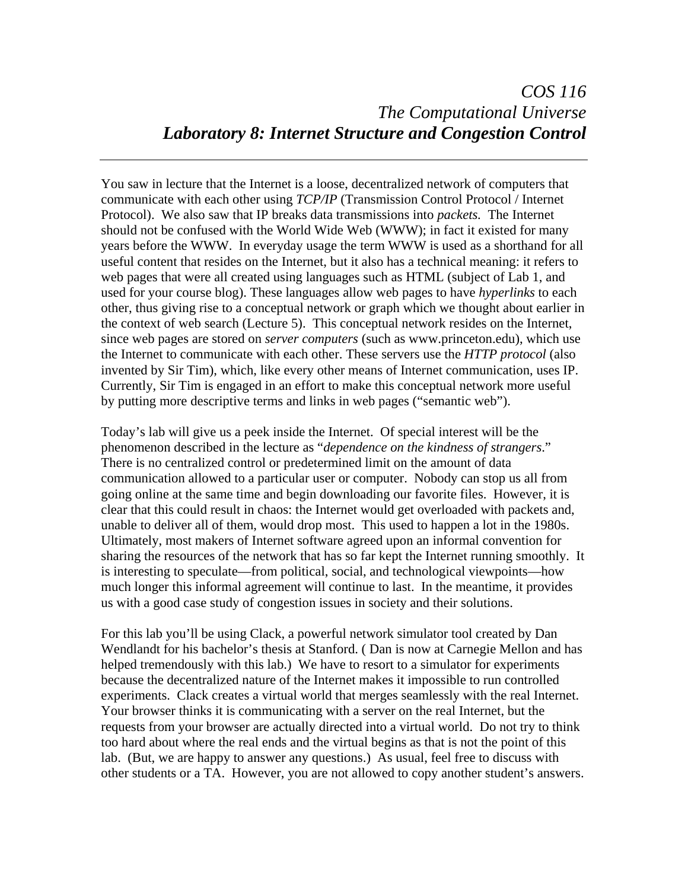You saw in lecture that the Internet is a loose, decentralized network of computers that communicate with each other using *TCP/IP* (Transmission Control Protocol / Internet Protocol). We also saw that IP breaks data transmissions into *packets.* The Internet should not be confused with the World Wide Web (WWW); in fact it existed for many years before the WWW. In everyday usage the term WWW is used as a shorthand for all useful content that resides on the Internet, but it also has a technical meaning: it refers to web pages that were all created using languages such as HTML (subject of Lab 1, and used for your course blog). These languages allow web pages to have *hyperlinks* to each other, thus giving rise to a conceptual network or graph which we thought about earlier in the context of web search (Lecture 5). This conceptual network resides on the Internet, since web pages are stored on *server computers* (such as www.princeton.edu), which use the Internet to communicate with each other. These servers use the *HTTP protocol* (also invented by Sir Tim), which, like every other means of Internet communication, uses IP. Currently, Sir Tim is engaged in an effort to make this conceptual network more useful by putting more descriptive terms and links in web pages ("semantic web").

Today's lab will give us a peek inside the Internet. Of special interest will be the phenomenon described in the lecture as "*dependence on the kindness of strangers*." There is no centralized control or predetermined limit on the amount of data communication allowed to a particular user or computer. Nobody can stop us all from going online at the same time and begin downloading our favorite files. However, it is clear that this could result in chaos: the Internet would get overloaded with packets and, unable to deliver all of them, would drop most. This used to happen a lot in the 1980s. Ultimately, most makers of Internet software agreed upon an informal convention for sharing the resources of the network that has so far kept the Internet running smoothly. It is interesting to speculate—from political, social, and technological viewpoints—how much longer this informal agreement will continue to last. In the meantime, it provides us with a good case study of congestion issues in society and their solutions.

For this lab you'll be using Clack, a powerful network simulator tool created by Dan Wendlandt for his bachelor's thesis at Stanford. ( Dan is now at Carnegie Mellon and has helped tremendously with this lab.) We have to resort to a simulator for experiments because the decentralized nature of the Internet makes it impossible to run controlled experiments. Clack creates a virtual world that merges seamlessly with the real Internet. Your browser thinks it is communicating with a server on the real Internet, but the requests from your browser are actually directed into a virtual world. Do not try to think too hard about where the real ends and the virtual begins as that is not the point of this lab. (But, we are happy to answer any questions.) As usual, feel free to discuss with other students or a TA. However, you are not allowed to copy another student's answers.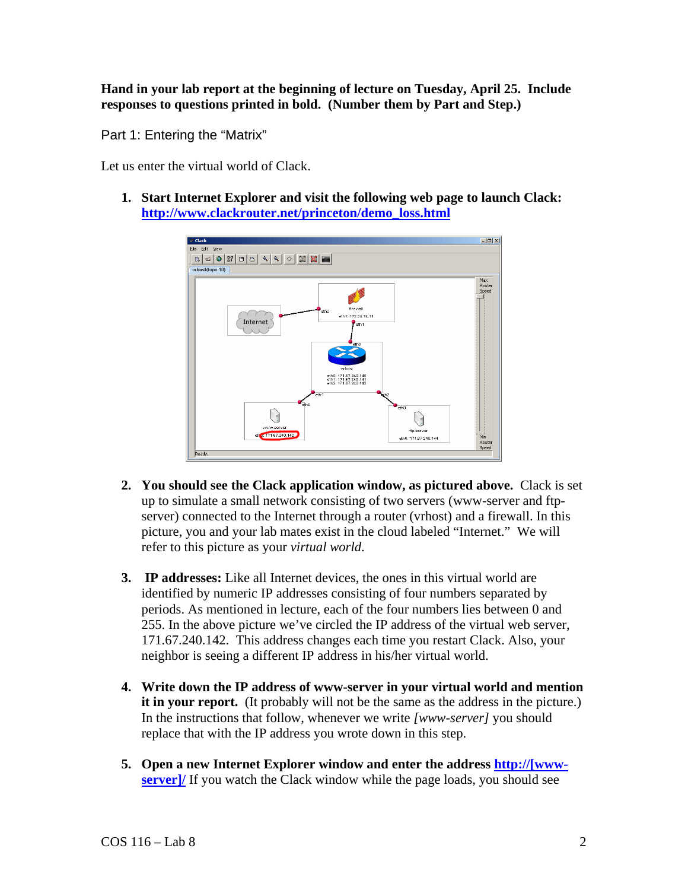**Hand in your lab report at the beginning of lecture on Tuesday, April 25. Include responses to questions printed in bold. (Number them by Part and Step.)** 

Part 1: Entering the "Matrix"

Let us enter the virtual world of Clack.

**1. Start Internet Explorer and visit the following web page to launch Clack: [http://www.clackrouter.net/princeton/demo\\_loss.html](http://www.clackrouter.net/princeton/demo_loss.html)**



- **2. You should see the Clack application window, as pictured above.** Clack is set up to simulate a small network consisting of two servers (www-server and ftpserver) connected to the Internet through a router (vrhost) and a firewall. In this picture, you and your lab mates exist in the cloud labeled "Internet." We will refer to this picture as your *virtual world*.
- **3. IP addresses:** Like all Internet devices, the ones in this virtual world are identified by numeric IP addresses consisting of four numbers separated by periods. As mentioned in lecture, each of the four numbers lies between 0 and 255. In the above picture we've circled the IP address of the virtual web server, 171.67.240.142. This address changes each time you restart Clack. Also, your neighbor is seeing a different IP address in his/her virtual world.
- **4. Write down the IP address of www-server in your virtual world and mention it in your report.** (It probably will not be the same as the address in the picture.) In the instructions that follow, whenever we write *[www-server]* you should replace that with the IP address you wrote down in this step.
- **5. Open a new Internet Explorer window and enter the address http://[wwwserver**]/ If you watch the Clack window while the page loads, you should see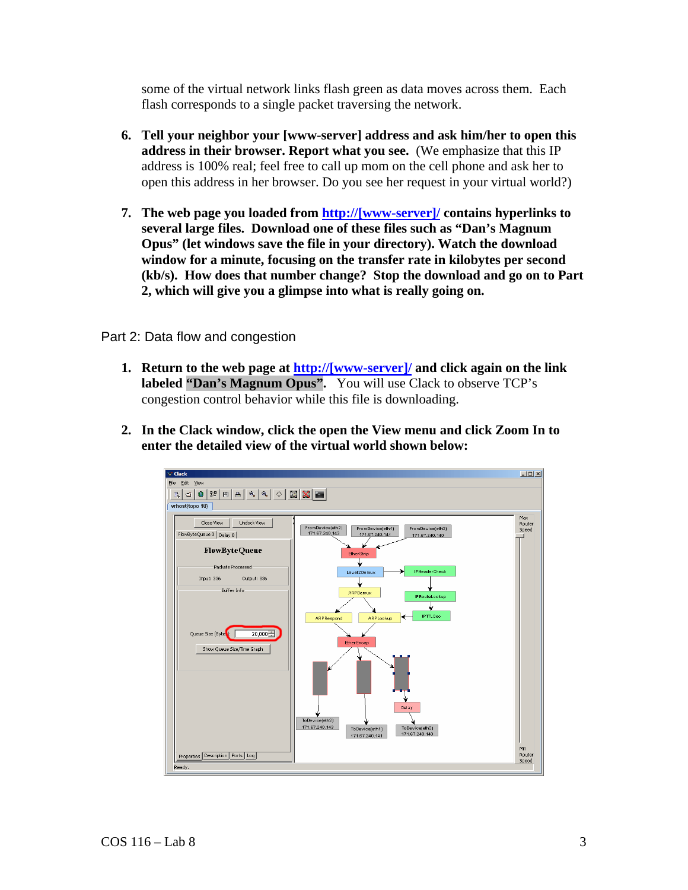some of the virtual network links flash green as data moves across them. Each flash corresponds to a single packet traversing the network.

- **6. Tell your neighbor your [www-server] address and ask him/her to open this address in their browser. Report what you see.** (We emphasize that this IP address is 100% real; feel free to call up mom on the cell phone and ask her to open this address in her browser. Do you see her request in your virtual world?)
- **7. The web page you loaded from http://[www-server]/ contains hyperlinks to several large files. Download one of these files such as "Dan's Magnum Opus" (let windows save the file in your directory). Watch the download window for a minute, focusing on the transfer rate in kilobytes per second (kb/s). How does that number change? Stop the download and go on to Part 2, which will give you a glimpse into what is really going on.**

Part 2: Data flow and congestion

- **1. Return to the web page at http://[www-server]/ and click again on the link labeled "Dan's Magnum Opus".** You will use Clack to observe TCP's congestion control behavior while this file is downloading.
- **2. In the Clack window, click the open the View menu and click Zoom In to enter the detailed view of the virtual world shown below:**

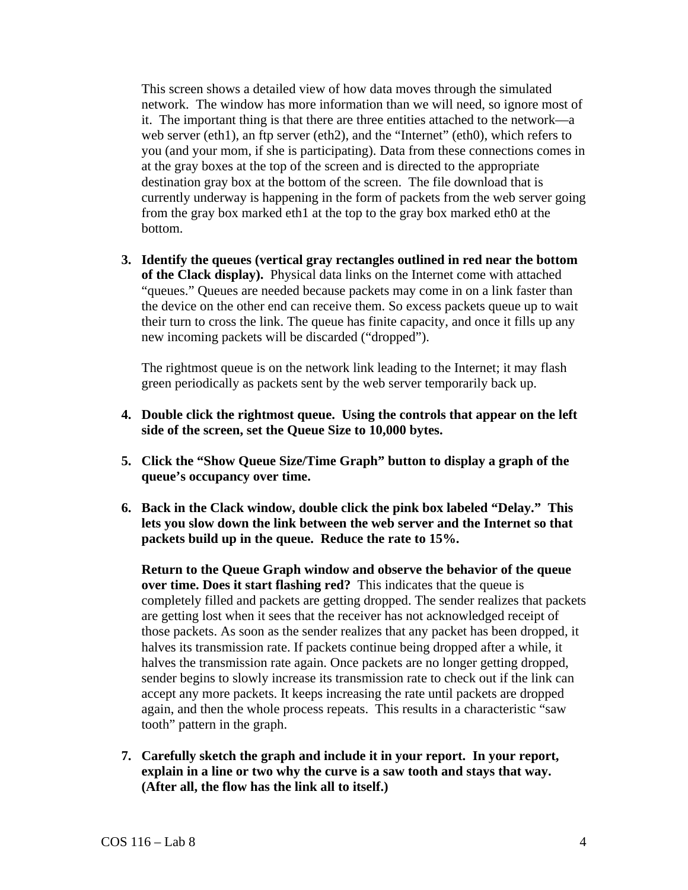This screen shows a detailed view of how data moves through the simulated network. The window has more information than we will need, so ignore most of it. The important thing is that there are three entities attached to the network—a web server (eth1), an ftp server (eth2), and the "Internet" (eth0), which refers to you (and your mom, if she is participating). Data from these connections comes in at the gray boxes at the top of the screen and is directed to the appropriate destination gray box at the bottom of the screen. The file download that is currently underway is happening in the form of packets from the web server going from the gray box marked eth1 at the top to the gray box marked eth0 at the bottom.

**3. Identify the queues (vertical gray rectangles outlined in red near the bottom of the Clack display).** Physical data links on the Internet come with attached "queues." Queues are needed because packets may come in on a link faster than the device on the other end can receive them. So excess packets queue up to wait their turn to cross the link. The queue has finite capacity, and once it fills up any new incoming packets will be discarded ("dropped").

The rightmost queue is on the network link leading to the Internet; it may flash green periodically as packets sent by the web server temporarily back up.

- **4. Double click the rightmost queue. Using the controls that appear on the left side of the screen, set the Queue Size to 10,000 bytes.**
- **5. Click the "Show Queue Size/Time Graph" button to display a graph of the queue's occupancy over time.**
- **6. Back in the Clack window, double click the pink box labeled "Delay." This lets you slow down the link between the web server and the Internet so that packets build up in the queue. Reduce the rate to 15%.**

**Return to the Queue Graph window and observe the behavior of the queue over time. Does it start flashing red?** This indicates that the queue is completely filled and packets are getting dropped. The sender realizes that packets are getting lost when it sees that the receiver has not acknowledged receipt of those packets. As soon as the sender realizes that any packet has been dropped, it halves its transmission rate. If packets continue being dropped after a while, it halves the transmission rate again. Once packets are no longer getting dropped, sender begins to slowly increase its transmission rate to check out if the link can accept any more packets. It keeps increasing the rate until packets are dropped again, and then the whole process repeats. This results in a characteristic "saw tooth" pattern in the graph.

**7. Carefully sketch the graph and include it in your report. In your report, explain in a line or two why the curve is a saw tooth and stays that way. (After all, the flow has the link all to itself.)**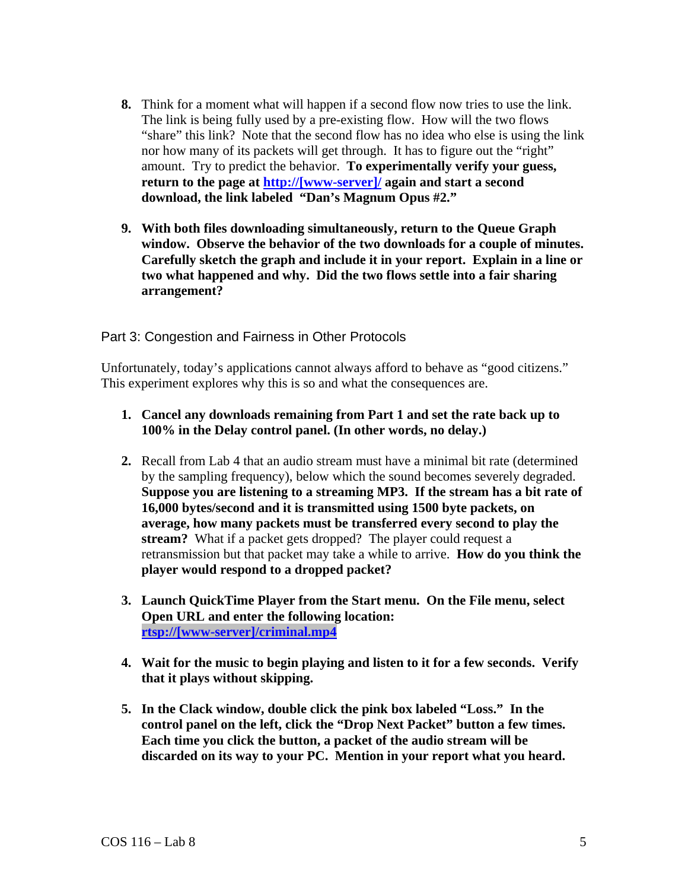- **8.** Think for a moment what will happen if a second flow now tries to use the link. The link is being fully used by a pre-existing flow. How will the two flows "share" this link? Note that the second flow has no idea who else is using the link nor how many of its packets will get through. It has to figure out the "right" amount. Try to predict the behavior. **To experimentally verify your guess, return to the page at http://[www-server]/ again and start a second download, the link labeled "Dan's Magnum Opus #2."**
- **9. With both files downloading simultaneously, return to the Queue Graph window. Observe the behavior of the two downloads for a couple of minutes. Carefully sketch the graph and include it in your report. Explain in a line or two what happened and why. Did the two flows settle into a fair sharing arrangement?**

Part 3: Congestion and Fairness in Other Protocols

Unfortunately, today's applications cannot always afford to behave as "good citizens." This experiment explores why this is so and what the consequences are.

- **1. Cancel any downloads remaining from Part 1 and set the rate back up to 100% in the Delay control panel. (In other words, no delay.)**
- **2.** Recall from Lab 4 that an audio stream must have a minimal bit rate (determined by the sampling frequency), below which the sound becomes severely degraded. **Suppose you are listening to a streaming MP3. If the stream has a bit rate of 16,000 bytes/second and it is transmitted using 1500 byte packets, on average, how many packets must be transferred every second to play the stream?** What if a packet gets dropped? The player could request a retransmission but that packet may take a while to arrive. **How do you think the player would respond to a dropped packet?**
- **3. Launch QuickTime Player from the Start menu. On the File menu, select Open URL and enter the following location: rtsp://[www-server]/criminal.mp4**
- **4. Wait for the music to begin playing and listen to it for a few seconds. Verify that it plays without skipping.**
- **5. In the Clack window, double click the pink box labeled "Loss." In the control panel on the left, click the "Drop Next Packet" button a few times. Each time you click the button, a packet of the audio stream will be discarded on its way to your PC. Mention in your report what you heard.**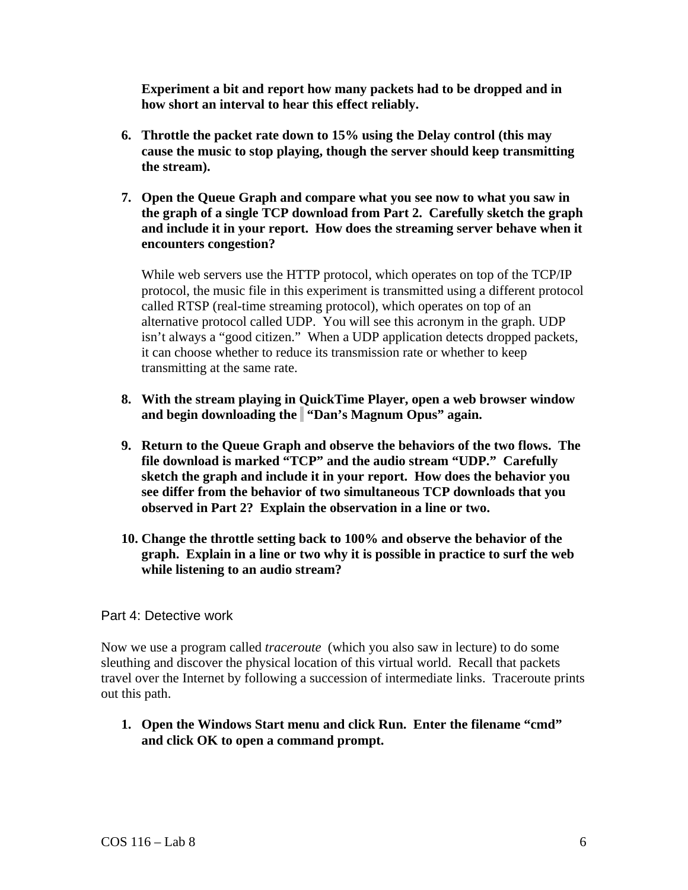**Experiment a bit and report how many packets had to be dropped and in how short an interval to hear this effect reliably.** 

- **6. Throttle the packet rate down to 15% using the Delay control (this may cause the music to stop playing, though the server should keep transmitting the stream).**
- **7. Open the Queue Graph and compare what you see now to what you saw in the graph of a single TCP download from Part 2. Carefully sketch the graph and include it in your report. How does the streaming server behave when it encounters congestion?**

While web servers use the HTTP protocol, which operates on top of the TCP/IP protocol, the music file in this experiment is transmitted using a different protocol called RTSP (real-time streaming protocol), which operates on top of an alternative protocol called UDP. You will see this acronym in the graph. UDP isn't always a "good citizen." When a UDP application detects dropped packets, it can choose whether to reduce its transmission rate or whether to keep transmitting at the same rate.

- **8. With the stream playing in QuickTime Player, open a web browser window and begin downloading the "Dan's Magnum Opus" again.**
- **9. Return to the Queue Graph and observe the behaviors of the two flows. The file download is marked "TCP" and the audio stream "UDP." Carefully sketch the graph and include it in your report. How does the behavior you see differ from the behavior of two simultaneous TCP downloads that you observed in Part 2? Explain the observation in a line or two.**
- **10. Change the throttle setting back to 100% and observe the behavior of the graph. Explain in a line or two why it is possible in practice to surf the web while listening to an audio stream?**

## Part 4: Detective work

Now we use a program called *traceroute* (which you also saw in lecture) to do some sleuthing and discover the physical location of this virtual world. Recall that packets travel over the Internet by following a succession of intermediate links. Traceroute prints out this path.

**1. Open the Windows Start menu and click Run. Enter the filename "cmd" and click OK to open a command prompt.**